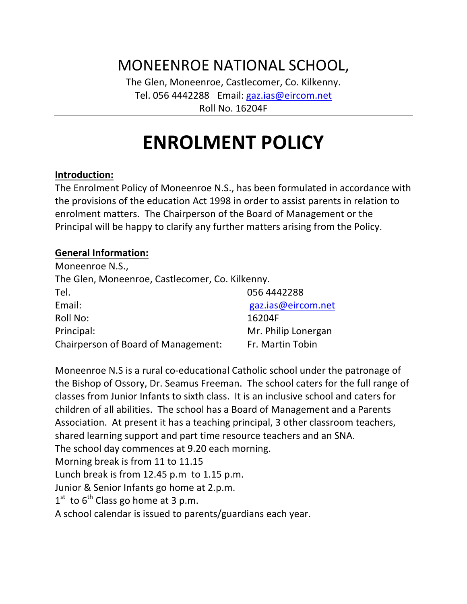# MONEENROE NATIONAL SCHOOL,

The Glen, Moneenroe, Castlecomer, Co. Kilkenny. Tel. 056 4442288 Email: gaz.ias@eircom.net Roll No. 16204F

# **ENROLMENT POLICY**

#### **Introduction:**

The Enrolment Policy of Moneenroe N.S., has been formulated in accordance with the provisions of the education Act 1998 in order to assist parents in relation to enrolment matters. The Chairperson of the Board of Management or the Principal will be happy to clarify any further matters arising from the Policy.

#### **General Information:**

| Moneenroe N.S.,                                 |                     |
|-------------------------------------------------|---------------------|
| The Glen, Moneenroe, Castlecomer, Co. Kilkenny. |                     |
| Tel.                                            | 056 4442288         |
| Email:                                          | gaz.ias@eircom.net  |
| <b>Roll No:</b>                                 | 16204F              |
| Principal:                                      | Mr. Philip Lonergan |
| Chairperson of Board of Management:             | Fr. Martin Tobin    |

Moneenroe N.S is a rural co-educational Catholic school under the patronage of the Bishop of Ossory, Dr. Seamus Freeman. The school caters for the full range of classes from Junior Infants to sixth class. It is an inclusive school and caters for children of all abilities. The school has a Board of Management and a Parents Association. At present it has a teaching principal, 3 other classroom teachers, shared learning support and part time resource teachers and an SNA. The school day commences at 9.20 each morning. Morning break is from 11 to 11.15 Lunch break is from  $12.45$  p.m to  $1.15$  p.m. Junior & Senior Infants go home at 2.p.m.  $1<sup>st</sup>$  to  $6<sup>th</sup>$  Class go home at 3 p.m. A school calendar is issued to parents/guardians each year.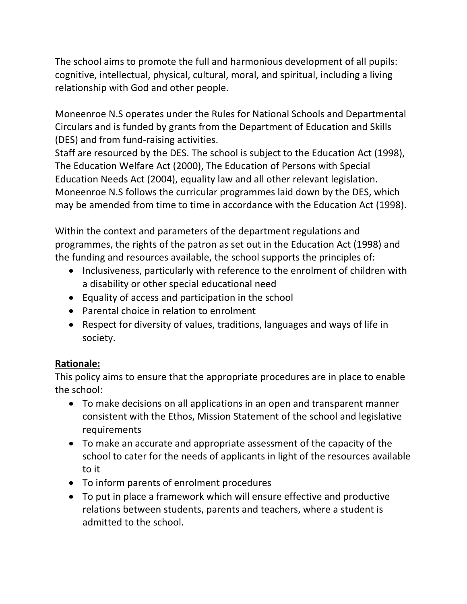The school aims to promote the full and harmonious development of all pupils: cognitive, intellectual, physical, cultural, moral, and spiritual, including a living relationship with God and other people.

Moneenroe N.S operates under the Rules for National Schools and Departmental Circulars and is funded by grants from the Department of Education and Skills (DES) and from fund-raising activities.

Staff are resourced by the DES. The school is subject to the Education Act (1998), The Education Welfare Act (2000), The Education of Persons with Special Education Needs Act (2004), equality law and all other relevant legislation. Moneenroe N.S follows the curricular programmes laid down by the DES, which may be amended from time to time in accordance with the Education Act (1998).

Within the context and parameters of the department regulations and programmes, the rights of the patron as set out in the Education Act (1998) and the funding and resources available, the school supports the principles of:

- Inclusiveness, particularly with reference to the enrolment of children with a disability or other special educational need
- Equality of access and participation in the school
- Parental choice in relation to enrolment
- Respect for diversity of values, traditions, languages and ways of life in society.

# **Rationale:**

This policy aims to ensure that the appropriate procedures are in place to enable the school:

- To make decisions on all applications in an open and transparent manner consistent with the Ethos, Mission Statement of the school and legislative requirements
- To make an accurate and appropriate assessment of the capacity of the school to cater for the needs of applicants in light of the resources available to it
- To inform parents of enrolment procedures
- To put in place a framework which will ensure effective and productive relations between students, parents and teachers, where a student is admitted to the school.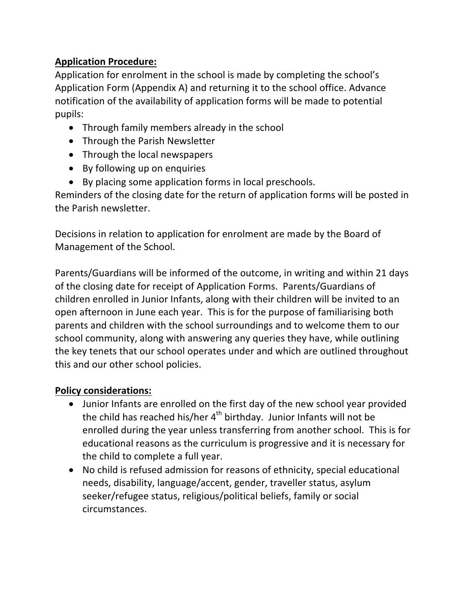# **Application Procedure:**

Application for enrolment in the school is made by completing the school's Application Form (Appendix A) and returning it to the school office. Advance notification of the availability of application forms will be made to potential pupils: 

- Through family members already in the school
- Through the Parish Newsletter
- Through the local newspapers
- By following up on enquiries
- By placing some application forms in local preschools.

Reminders of the closing date for the return of application forms will be posted in the Parish newsletter.

Decisions in relation to application for enrolment are made by the Board of Management of the School.

Parents/Guardians will be informed of the outcome, in writing and within 21 days of the closing date for receipt of Application Forms. Parents/Guardians of children enrolled in Junior Infants, along with their children will be invited to an open afternoon in June each year. This is for the purpose of familiarising both parents and children with the school surroundings and to welcome them to our school community, along with answering any queries they have, while outlining the key tenets that our school operates under and which are outlined throughout this and our other school policies.

## **Policy considerations:**

- Junior Infants are enrolled on the first day of the new school year provided the child has reached his/her  $4<sup>th</sup>$  birthday. Junior Infants will not be enrolled during the year unless transferring from another school. This is for educational reasons as the curriculum is progressive and it is necessary for the child to complete a full year.
- No child is refused admission for reasons of ethnicity, special educational needs, disability, language/accent, gender, traveller status, asylum seeker/refugee status, religious/political beliefs, family or social circumstances.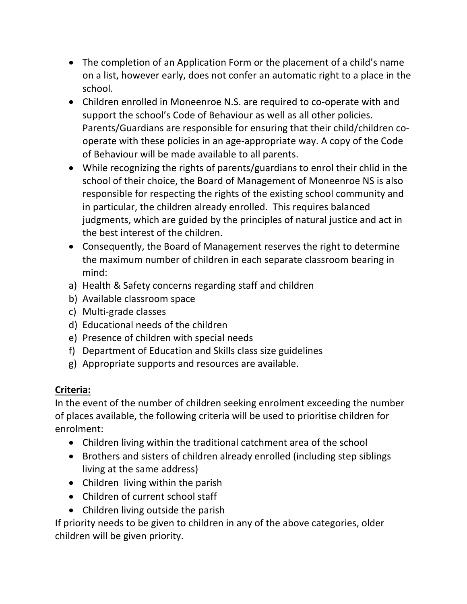- The completion of an Application Form or the placement of a child's name on a list, however early, does not confer an automatic right to a place in the school.
- Children enrolled in Moneenroe N.S. are required to co-operate with and support the school's Code of Behaviour as well as all other policies. Parents/Guardians are responsible for ensuring that their child/children cooperate with these policies in an age-appropriate way. A copy of the Code of Behaviour will be made available to all parents.
- While recognizing the rights of parents/guardians to enrol their chlid in the school of their choice, the Board of Management of Moneenroe NS is also responsible for respecting the rights of the existing school community and in particular, the children already enrolled. This requires balanced judgments, which are guided by the principles of natural justice and act in the best interest of the children.
- Consequently, the Board of Management reserves the right to determine the maximum number of children in each separate classroom bearing in mind:
- a) Health & Safety concerns regarding staff and children
- b) Available classroom space
- c) Multi-grade classes
- d) Educational needs of the children
- e) Presence of children with special needs
- f) Department of Education and Skills class size guidelines
- g) Appropriate supports and resources are available.

## **Criteria:**

In the event of the number of children seeking enrolment exceeding the number of places available, the following criteria will be used to prioritise children for enrolment:

- Children living within the traditional catchment area of the school
- Brothers and sisters of children already enrolled (including step siblings living at the same address)
- $\bullet$  Children living within the parish
- Children of current school staff
- $\bullet$  Children living outside the parish

If priority needs to be given to children in any of the above categories, older children will be given priority.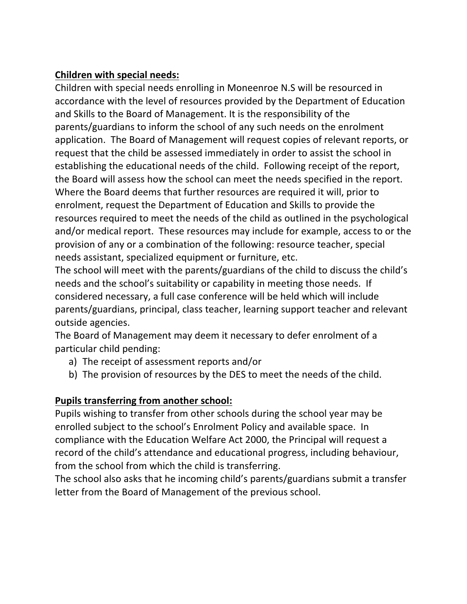# **Children with special needs:**

Children with special needs enrolling in Moneenroe N.S will be resourced in accordance with the level of resources provided by the Department of Education and Skills to the Board of Management. It is the responsibility of the parents/guardians to inform the school of any such needs on the enrolment application. The Board of Management will request copies of relevant reports, or request that the child be assessed immediately in order to assist the school in establishing the educational needs of the child. Following receipt of the report, the Board will assess how the school can meet the needs specified in the report. Where the Board deems that further resources are required it will, prior to enrolment, request the Department of Education and Skills to provide the resources required to meet the needs of the child as outlined in the psychological and/or medical report. These resources may include for example, access to or the provision of any or a combination of the following: resource teacher, special needs assistant, specialized equipment or furniture, etc.

The school will meet with the parents/guardians of the child to discuss the child's needs and the school's suitability or capability in meeting those needs. If considered necessary, a full case conference will be held which will include parents/guardians, principal, class teacher, learning support teacher and relevant outside agencies.

The Board of Management may deem it necessary to defer enrolment of a particular child pending:

- a) The receipt of assessment reports and/or
- b) The provision of resources by the DES to meet the needs of the child.

# **Pupils transferring from another school:**

Pupils wishing to transfer from other schools during the school year may be enrolled subject to the school's Enrolment Policy and available space. In compliance with the Education Welfare Act 2000, the Principal will request a record of the child's attendance and educational progress, including behaviour, from the school from which the child is transferring.

The school also asks that he incoming child's parents/guardians submit a transfer letter from the Board of Management of the previous school.